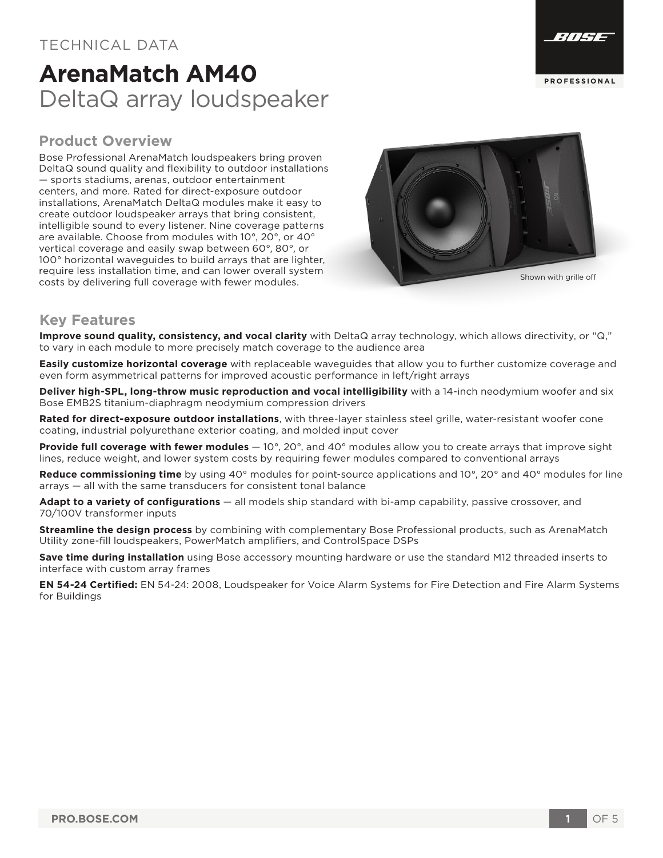## TECHNICAL DATA

# **ArenaMatch AM40** DeltaQ array loudspeaker

### **Product Overview**

Bose Professional ArenaMatch loudspeakers bring proven DeltaQ sound quality and flexibility to outdoor installations — sports stadiums, arenas, outdoor entertainment centers, and more. Rated for direct-exposure outdoor installations, ArenaMatch DeltaQ modules make it easy to create outdoor loudspeaker arrays that bring consistent, intelligible sound to every listener. Nine coverage patterns are available. Choose from modules with 10°, 20°, or 40° vertical coverage and easily swap between 60°, 80°, or 100° horizontal waveguides to build arrays that are lighter, require less installation time, and can lower overall system costs by delivering full coverage with fewer modules.



### **Key Features**

**Improve sound quality, consistency, and vocal clarity** with DeltaQ array technology, which allows directivity, or "Q," to vary in each module to more precisely match coverage to the audience area

**Easily customize horizontal coverage** with replaceable waveguides that allow you to further customize coverage and even form asymmetrical patterns for improved acoustic performance in left/right arrays

**Deliver high-SPL, long-throw music reproduction and vocal intelligibility** with a 14-inch neodymium woofer and six Bose EMB2S titanium-diaphragm neodymium compression drivers

**Rated for direct-exposure outdoor installations**, with three-layer stainless steel grille, water-resistant woofer cone coating, industrial polyurethane exterior coating, and molded input cover

**Provide full coverage with fewer modules** — 10°, 20°, and 40° modules allow you to create arrays that improve sight lines, reduce weight, and lower system costs by requiring fewer modules compared to conventional arrays

**Reduce commissioning time** by using 40° modules for point-source applications and 10°, 20° and 40° modules for line arrays — all with the same transducers for consistent tonal balance

**Adapt to a variety of configurations** — all models ship standard with bi-amp capability, passive crossover, and 70/100V transformer inputs

**Streamline the design process** by combining with complementary Bose Professional products, such as ArenaMatch Utility zone-fill loudspeakers, PowerMatch amplifiers, and ControlSpace DSPs

**Save time during installation** using Bose accessory mounting hardware or use the standard M12 threaded inserts to interface with custom array frames

**EN 54-24 Certified:** EN 54-24: 2008, Loudspeaker for Voice Alarm Systems for Fire Detection and Fire Alarm Systems for Buildings



**PROFESS IONA L**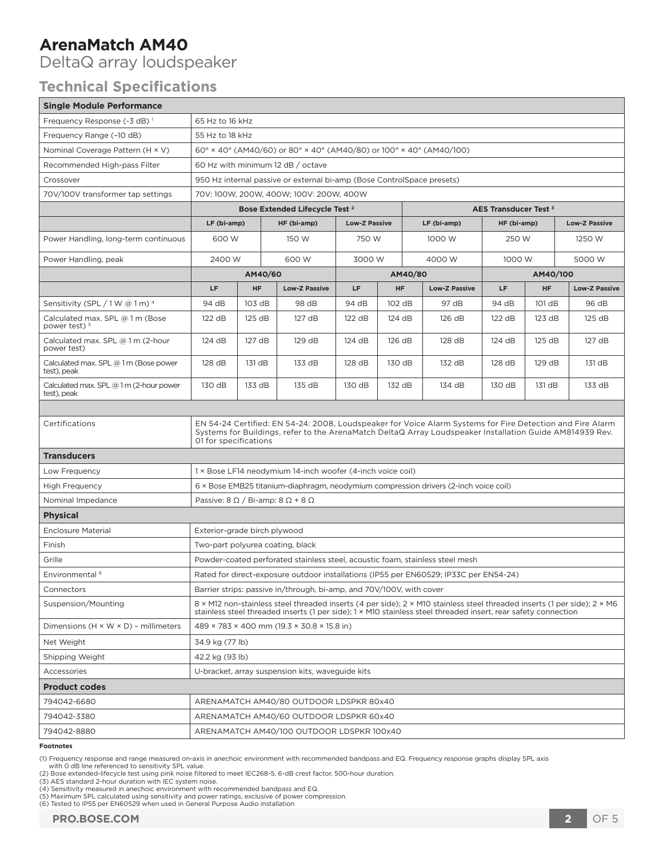# **Technical Specifications**

| <b>ArenaMatch AM40</b><br>DeltaQ array loudspeaker                                                                                                                                                                                                                                                                                                                                                                                                                                                                                                                                                                                                                        |                                                                                                                                                                                                                                                |           |                      |                      |           |                            |          |                      |                                   |  |
|---------------------------------------------------------------------------------------------------------------------------------------------------------------------------------------------------------------------------------------------------------------------------------------------------------------------------------------------------------------------------------------------------------------------------------------------------------------------------------------------------------------------------------------------------------------------------------------------------------------------------------------------------------------------------|------------------------------------------------------------------------------------------------------------------------------------------------------------------------------------------------------------------------------------------------|-----------|----------------------|----------------------|-----------|----------------------------|----------|----------------------|-----------------------------------|--|
| <b>Technical Specifications</b>                                                                                                                                                                                                                                                                                                                                                                                                                                                                                                                                                                                                                                           |                                                                                                                                                                                                                                                |           |                      |                      |           |                            |          |                      |                                   |  |
| <b>Single Module Performance</b>                                                                                                                                                                                                                                                                                                                                                                                                                                                                                                                                                                                                                                          |                                                                                                                                                                                                                                                |           |                      |                      |           |                            |          |                      |                                   |  |
| Frequency Response (-3 dB) <sup>1</sup>                                                                                                                                                                                                                                                                                                                                                                                                                                                                                                                                                                                                                                   | 65 Hz to 16 kHz                                                                                                                                                                                                                                |           |                      |                      |           |                            |          |                      |                                   |  |
| Frequency Range (-10 dB)                                                                                                                                                                                                                                                                                                                                                                                                                                                                                                                                                                                                                                                  | 55 Hz to 18 kHz                                                                                                                                                                                                                                |           |                      |                      |           |                            |          |                      |                                   |  |
| Nominal Coverage Pattern (H × V)                                                                                                                                                                                                                                                                                                                                                                                                                                                                                                                                                                                                                                          | $60^{\circ}$ × 40° (AM40/60) or 80° × 40° (AM40/80) or 100° × 40° (AM40/100)                                                                                                                                                                   |           |                      |                      |           |                            |          |                      |                                   |  |
| Recommended High-pass Filter                                                                                                                                                                                                                                                                                                                                                                                                                                                                                                                                                                                                                                              | 60 Hz with minimum 12 dB / octave                                                                                                                                                                                                              |           |                      |                      |           |                            |          |                      |                                   |  |
| Crossover                                                                                                                                                                                                                                                                                                                                                                                                                                                                                                                                                                                                                                                                 | 950 Hz internal passive or external bi-amp (Bose ControlSpace presets)                                                                                                                                                                         |           |                      |                      |           |                            |          |                      |                                   |  |
| 70V/100V transformer tap settings                                                                                                                                                                                                                                                                                                                                                                                                                                                                                                                                                                                                                                         | 70V: 100W, 200W, 400W; 100V: 200W, 400W                                                                                                                                                                                                        |           |                      |                      |           |                            |          |                      |                                   |  |
|                                                                                                                                                                                                                                                                                                                                                                                                                                                                                                                                                                                                                                                                           | Bose Extended Lifecycle Test <sup>2</sup><br>AES Transducer Test <sup>3</sup>                                                                                                                                                                  |           |                      |                      |           |                            |          |                      |                                   |  |
|                                                                                                                                                                                                                                                                                                                                                                                                                                                                                                                                                                                                                                                                           | LF (bi-amp)                                                                                                                                                                                                                                    |           | HF (bi-amp)          | <b>Low-Z Passive</b> |           | LF (bi-amp)<br>HF (bi-amp) |          | <b>Low-Z Passive</b> |                                   |  |
| Power Handling, long-term continuous                                                                                                                                                                                                                                                                                                                                                                                                                                                                                                                                                                                                                                      | 600 W                                                                                                                                                                                                                                          |           | 150 W                | 750 W                |           | 1000 W                     | 250 W    |                      | 1250 W                            |  |
| Power Handling, peak                                                                                                                                                                                                                                                                                                                                                                                                                                                                                                                                                                                                                                                      | 2400 W                                                                                                                                                                                                                                         |           | 600 W                | 3000 W               |           | 4000 W<br>1000 W           |          | 5000 W               |                                   |  |
|                                                                                                                                                                                                                                                                                                                                                                                                                                                                                                                                                                                                                                                                           |                                                                                                                                                                                                                                                |           | AM40/60              | AM40/80              |           |                            | AM40/100 |                      |                                   |  |
|                                                                                                                                                                                                                                                                                                                                                                                                                                                                                                                                                                                                                                                                           | LF.                                                                                                                                                                                                                                            | <b>HF</b> | <b>Low-Z Passive</b> | LF                   | <b>HF</b> | <b>Low-Z Passive</b>       | LF       | <b>HF</b>            | <b>Low-Z Passive</b>              |  |
| Sensitivity (SPL $/1$ W @ 1 m) $^{4}$                                                                                                                                                                                                                                                                                                                                                                                                                                                                                                                                                                                                                                     | 94 dB                                                                                                                                                                                                                                          | 103 dB    | 98 dB                | 94 dB                | 102 dB    | 97 dB                      | 94 dB    | 101 dB               | 96 dB                             |  |
| Calculated max. SPL @ 1 m (Bose<br>power test) <sup>5</sup>                                                                                                                                                                                                                                                                                                                                                                                                                                                                                                                                                                                                               | 122 dB                                                                                                                                                                                                                                         | 125 dB    | 127 dB               | 122 dB               | 124 dB    | 126 dB                     | 122 dB   | 123 dB               | 125 dB                            |  |
| Calculated max. SPL @ 1 m (2-hour<br>power test)                                                                                                                                                                                                                                                                                                                                                                                                                                                                                                                                                                                                                          | 124 dB                                                                                                                                                                                                                                         | 127 dB    | 129 dB               | 124 dB               | 126 dB    | 128 dB                     | 124 dB   | 125 dB               | 127 dB                            |  |
| Calculated max. SPL @ 1 m (Bose power<br>test), peak                                                                                                                                                                                                                                                                                                                                                                                                                                                                                                                                                                                                                      | 128 dB                                                                                                                                                                                                                                         | 131 dB    | 133 dB               | 128 dB               | 130 dB    | 132 dB                     | 128 dB   | 129 dB               | 131 dB                            |  |
| Calculated max. SPL $@1m$ (2-hour power<br>test), peak                                                                                                                                                                                                                                                                                                                                                                                                                                                                                                                                                                                                                    | 130 dB                                                                                                                                                                                                                                         | 133 dB    | 135 dB               | 130 dB               | 132 dB    | 134 dB                     | 130 dB   | 131 dB               | 133 dB                            |  |
|                                                                                                                                                                                                                                                                                                                                                                                                                                                                                                                                                                                                                                                                           |                                                                                                                                                                                                                                                |           |                      |                      |           |                            |          |                      |                                   |  |
| Certifications                                                                                                                                                                                                                                                                                                                                                                                                                                                                                                                                                                                                                                                            | EN 54-24 Certified: EN 54-24: 2008, Loudspeaker for Voice Alarm Systems for Fire Detection and Fire Alarm<br>Systems for Buildings, refer to the ArenaMatch DeltaQ Array Loudspeaker Installation Guide AM814939 Rev.<br>01 for specifications |           |                      |                      |           |                            |          |                      |                                   |  |
| <b>Transducers</b>                                                                                                                                                                                                                                                                                                                                                                                                                                                                                                                                                                                                                                                        |                                                                                                                                                                                                                                                |           |                      |                      |           |                            |          |                      |                                   |  |
| Low Frequency                                                                                                                                                                                                                                                                                                                                                                                                                                                                                                                                                                                                                                                             | 1 × Bose LF14 neodymium 14-inch woofer (4-inch voice coil)                                                                                                                                                                                     |           |                      |                      |           |                            |          |                      |                                   |  |
| <b>High Frequency</b>                                                                                                                                                                                                                                                                                                                                                                                                                                                                                                                                                                                                                                                     | 6 × Bose EMB2S titanium-diaphragm, neodymium compression drivers (2-inch voice coil)                                                                                                                                                           |           |                      |                      |           |                            |          |                      |                                   |  |
| Nominal Impedance                                                                                                                                                                                                                                                                                                                                                                                                                                                                                                                                                                                                                                                         | Passive: $8 \Omega / Bi$ -amp: $8 \Omega + 8 \Omega$                                                                                                                                                                                           |           |                      |                      |           |                            |          |                      |                                   |  |
| <b>Physical</b>                                                                                                                                                                                                                                                                                                                                                                                                                                                                                                                                                                                                                                                           |                                                                                                                                                                                                                                                |           |                      |                      |           |                            |          |                      |                                   |  |
| <b>Enclosure Material</b>                                                                                                                                                                                                                                                                                                                                                                                                                                                                                                                                                                                                                                                 | Exterior-grade birch plywood                                                                                                                                                                                                                   |           |                      |                      |           |                            |          |                      |                                   |  |
| Finish                                                                                                                                                                                                                                                                                                                                                                                                                                                                                                                                                                                                                                                                    | Two-part polyurea coating, black                                                                                                                                                                                                               |           |                      |                      |           |                            |          |                      |                                   |  |
| Grille                                                                                                                                                                                                                                                                                                                                                                                                                                                                                                                                                                                                                                                                    | Powder-coated perforated stainless steel, acoustic foam, stainless steel mesh                                                                                                                                                                  |           |                      |                      |           |                            |          |                      |                                   |  |
| Environmental <sup>6</sup>                                                                                                                                                                                                                                                                                                                                                                                                                                                                                                                                                                                                                                                | Rated for direct-exposure outdoor installations (IP55 per EN60529; IP33C per EN54-24)                                                                                                                                                          |           |                      |                      |           |                            |          |                      |                                   |  |
| Connectors                                                                                                                                                                                                                                                                                                                                                                                                                                                                                                                                                                                                                                                                | Barrier strips: passive in/through, bi-amp, and 70V/100V, with cover                                                                                                                                                                           |           |                      |                      |           |                            |          |                      |                                   |  |
| Suspension/Mounting                                                                                                                                                                                                                                                                                                                                                                                                                                                                                                                                                                                                                                                       | 8 × M12 non-stainless steel threaded inserts (4 per side); 2 × M10 stainless steel threaded inserts (1 per side); 2 × M6<br>stainless steel threaded inserts (1 per side); 1 × M10 stainless steel threaded insert, rear safety connection     |           |                      |                      |           |                            |          |                      |                                   |  |
| Dimensions $(H \times W \times D)$ - millimeters                                                                                                                                                                                                                                                                                                                                                                                                                                                                                                                                                                                                                          | 489 × 783 × 400 mm (19.3 × 30.8 × 15.8 in)                                                                                                                                                                                                     |           |                      |                      |           |                            |          |                      |                                   |  |
| Net Weight                                                                                                                                                                                                                                                                                                                                                                                                                                                                                                                                                                                                                                                                | 34.9 kg (77 lb)                                                                                                                                                                                                                                |           |                      |                      |           |                            |          |                      |                                   |  |
| Shipping Weight                                                                                                                                                                                                                                                                                                                                                                                                                                                                                                                                                                                                                                                           | 42.2 kg (93 lb)                                                                                                                                                                                                                                |           |                      |                      |           |                            |          |                      |                                   |  |
| Accessories                                                                                                                                                                                                                                                                                                                                                                                                                                                                                                                                                                                                                                                               | U-bracket, array suspension kits, waveguide kits                                                                                                                                                                                               |           |                      |                      |           |                            |          |                      |                                   |  |
| <b>Product codes</b>                                                                                                                                                                                                                                                                                                                                                                                                                                                                                                                                                                                                                                                      |                                                                                                                                                                                                                                                |           |                      |                      |           |                            |          |                      |                                   |  |
| 794042-6680                                                                                                                                                                                                                                                                                                                                                                                                                                                                                                                                                                                                                                                               | ARENAMATCH AM40/80 OUTDOOR LDSPKR 80x40                                                                                                                                                                                                        |           |                      |                      |           |                            |          |                      |                                   |  |
| 794042-3380                                                                                                                                                                                                                                                                                                                                                                                                                                                                                                                                                                                                                                                               | ARENAMATCH AM40/60 OUTDOOR LDSPKR 60x40                                                                                                                                                                                                        |           |                      |                      |           |                            |          |                      |                                   |  |
| 794042-8880                                                                                                                                                                                                                                                                                                                                                                                                                                                                                                                                                                                                                                                               | ARENAMATCH AM40/100 OUTDOOR LDSPKR 100x40                                                                                                                                                                                                      |           |                      |                      |           |                            |          |                      |                                   |  |
| <b>Footnotes</b>                                                                                                                                                                                                                                                                                                                                                                                                                                                                                                                                                                                                                                                          |                                                                                                                                                                                                                                                |           |                      |                      |           |                            |          |                      |                                   |  |
| (1) Frequency response and range measured on-axis in anechoic environment with recommended bandpass and EQ. Frequency response graphs display SPL axis<br>with O dB line referenced to sensitivity SPL value.<br>(2) Bose extended-lifecycle test using pink noise filtered to meet IEC268-5, 6-dB crest factor, 500-hour duration.<br>(3) AES standard 2-hour duration with IEC system noise.<br>(4) Sensitivity measured in anechoic environment with recommended bandpass and EQ.<br>(5) Maximum SPL calculated using sensitivity and power ratings, exclusive of power compression.<br>(6) Tested to IP55 per EN60529 when used in General Purpose Audio installation |                                                                                                                                                                                                                                                |           |                      |                      |           |                            |          |                      |                                   |  |
| <b>PRO.BOSE.COM</b>                                                                                                                                                                                                                                                                                                                                                                                                                                                                                                                                                                                                                                                       |                                                                                                                                                                                                                                                |           |                      |                      |           |                            |          |                      | OF <sub>5</sub><br>2 <sup>2</sup> |  |

### **Footnotes**

<sup>(1)</sup> Frequency response and range measured on-axis in anechoic environment with recommended bandpass and EQ. Frequency response graphs display SPL axis<br>with 0 dB line referenced to sensitivity SPL value.<br>(2) Bose extended-l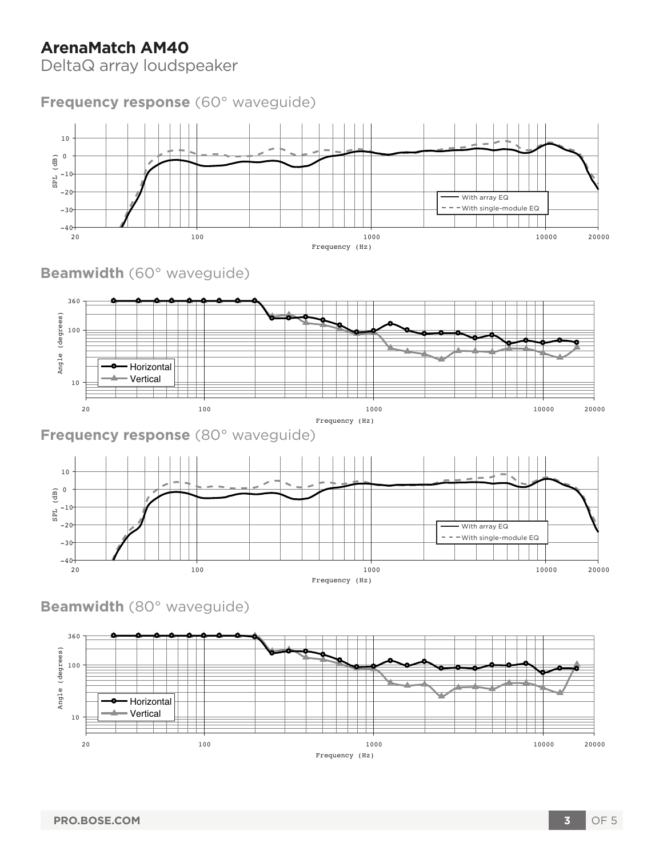# **ArenaMatch AM40**

DeltaQ array loudspeaker

### **Frequency response** (60° waveguide)



**Beamwidth** (60° waveguide)



**Frequency response** (80° waveguide)



**Beamwidth** (80° waveguide)

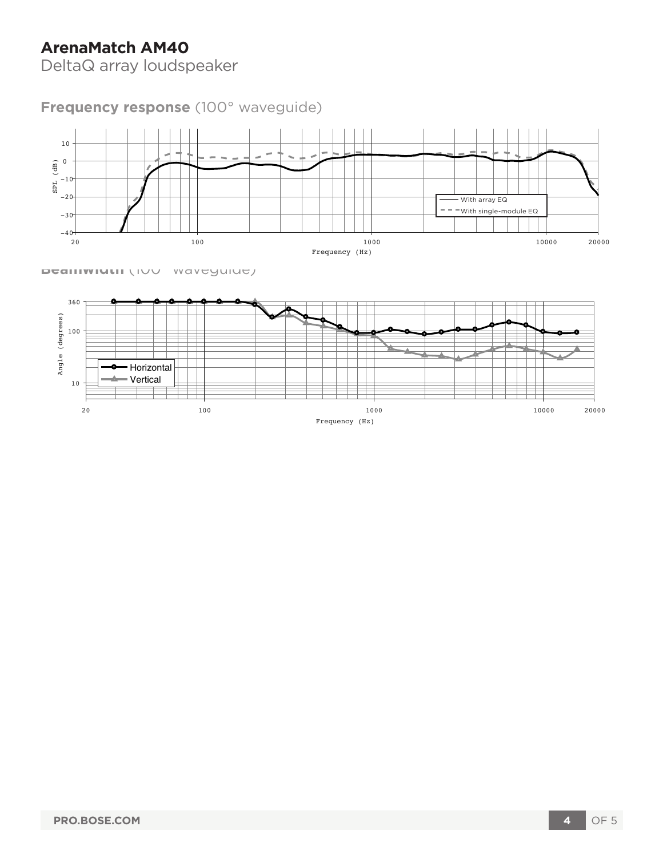# **ArenaMatch AM40**

DeltaQ array loudspeaker

**Frequency response** (100° waveguide)



**Beamwidth** (100° waveguide)